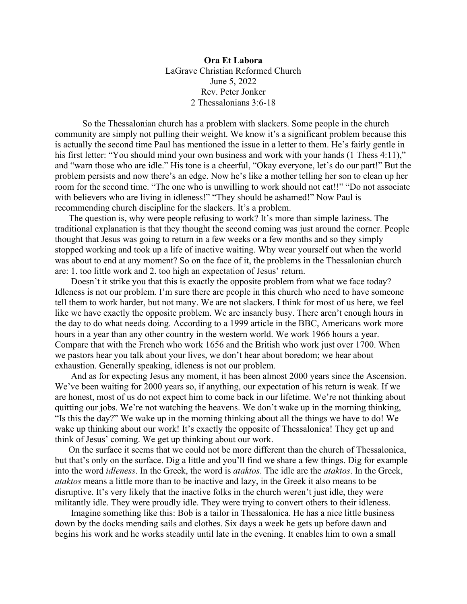**Ora Et Labora** LaGrave Christian Reformed Church June 5, 2022 Rev. Peter Jonker 2 Thessalonians 3:6-18

So the Thessalonian church has a problem with slackers. Some people in the church community are simply not pulling their weight. We know it's a significant problem because this is actually the second time Paul has mentioned the issue in a letter to them. He's fairly gentle in his first letter: "You should mind your own business and work with your hands (1 Thess 4:11)," and "warn those who are idle." His tone is a cheerful, "Okay everyone, let's do our part!" But the problem persists and now there's an edge. Now he's like a mother telling her son to clean up her room for the second time. "The one who is unwilling to work should not eat!!" "Do not associate with believers who are living in idleness!" "They should be ashamed!" Now Paul is recommending church discipline for the slackers. It's a problem.

 The question is, why were people refusing to work? It's more than simple laziness. The traditional explanation is that they thought the second coming was just around the corner. People thought that Jesus was going to return in a few weeks or a few months and so they simply stopped working and took up a life of inactive waiting. Why wear yourself out when the world was about to end at any moment? So on the face of it, the problems in the Thessalonian church are: 1. too little work and 2. too high an expectation of Jesus' return.

 Doesn't it strike you that this is exactly the opposite problem from what we face today? Idleness is not our problem. I'm sure there are people in this church who need to have someone tell them to work harder, but not many. We are not slackers. I think for most of us here, we feel like we have exactly the opposite problem. We are insanely busy. There aren't enough hours in the day to do what needs doing. According to a 1999 article in the BBC, Americans work more hours in a year than any other country in the western world. We work 1966 hours a year. Compare that with the French who work 1656 and the British who work just over 1700. When we pastors hear you talk about your lives, we don't hear about boredom; we hear about exhaustion. Generally speaking, idleness is not our problem.

And as for expecting Jesus any moment, it has been almost 2000 years since the Ascension. We've been waiting for 2000 years so, if anything, our expectation of his return is weak. If we are honest, most of us do not expect him to come back in our lifetime. We're not thinking about quitting our jobs. We're not watching the heavens. We don't wake up in the morning thinking, "Is this the day?" We wake up in the morning thinking about all the things we have to do! We wake up thinking about our work! It's exactly the opposite of Thessalonica! They get up and think of Jesus' coming. We get up thinking about our work.

On the surface it seems that we could not be more different than the church of Thessalonica, but that's only on the surface. Dig a little and you'll find we share a few things. Dig for example into the word *idleness*. In the Greek, the word is *ataktos*. The idle are the *ataktos*. In the Greek, *ataktos* means a little more than to be inactive and lazy, in the Greek it also means to be disruptive. It's very likely that the inactive folks in the church weren't just idle, they were militantly idle. They were proudly idle. They were trying to convert others to their idleness.

 Imagine something like this: Bob is a tailor in Thessalonica. He has a nice little business down by the docks mending sails and clothes. Six days a week he gets up before dawn and begins his work and he works steadily until late in the evening. It enables him to own a small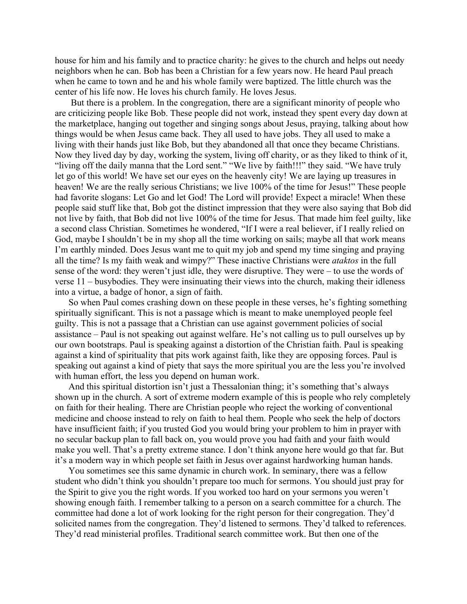house for him and his family and to practice charity: he gives to the church and helps out needy neighbors when he can. Bob has been a Christian for a few years now. He heard Paul preach when he came to town and he and his whole family were baptized. The little church was the center of his life now. He loves his church family. He loves Jesus.

 But there is a problem. In the congregation, there are a significant minority of people who are criticizing people like Bob. These people did not work, instead they spent every day down at the marketplace, hanging out together and singing songs about Jesus, praying, talking about how things would be when Jesus came back. They all used to have jobs. They all used to make a living with their hands just like Bob, but they abandoned all that once they became Christians. Now they lived day by day, working the system, living off charity, or as they liked to think of it, "living off the daily manna that the Lord sent." "We live by faith!!!" they said. "We have truly let go of this world! We have set our eyes on the heavenly city! We are laying up treasures in heaven! We are the really serious Christians; we live 100% of the time for Jesus!" These people had favorite slogans: Let Go and let God! The Lord will provide! Expect a miracle! When these people said stuff like that, Bob got the distinct impression that they were also saying that Bob did not live by faith, that Bob did not live 100% of the time for Jesus. That made him feel guilty, like a second class Christian. Sometimes he wondered, "If I were a real believer, if I really relied on God, maybe I shouldn't be in my shop all the time working on sails; maybe all that work means I'm earthly minded. Does Jesus want me to quit my job and spend my time singing and praying all the time? Is my faith weak and wimpy?" These inactive Christians were *ataktos* in the full sense of the word: they weren't just idle, they were disruptive. They were – to use the words of verse 11 – busybodies. They were insinuating their views into the church, making their idleness into a virtue, a badge of honor, a sign of faith.

So when Paul comes crashing down on these people in these verses, he's fighting something spiritually significant. This is not a passage which is meant to make unemployed people feel guilty. This is not a passage that a Christian can use against government policies of social assistance – Paul is not speaking out against welfare. He's not calling us to pull ourselves up by our own bootstraps. Paul is speaking against a distortion of the Christian faith. Paul is speaking against a kind of spirituality that pits work against faith, like they are opposing forces. Paul is speaking out against a kind of piety that says the more spiritual you are the less you're involved with human effort, the less you depend on human work.

And this spiritual distortion isn't just a Thessalonian thing; it's something that's always shown up in the church. A sort of extreme modern example of this is people who rely completely on faith for their healing. There are Christian people who reject the working of conventional medicine and choose instead to rely on faith to heal them. People who seek the help of doctors have insufficient faith; if you trusted God you would bring your problem to him in prayer with no secular backup plan to fall back on, you would prove you had faith and your faith would make you well. That's a pretty extreme stance. I don't think anyone here would go that far. But it's a modern way in which people set faith in Jesus over against hardworking human hands.

You sometimes see this same dynamic in church work. In seminary, there was a fellow student who didn't think you shouldn't prepare too much for sermons. You should just pray for the Spirit to give you the right words. If you worked too hard on your sermons you weren't showing enough faith. I remember talking to a person on a search committee for a church. The committee had done a lot of work looking for the right person for their congregation. They'd solicited names from the congregation. They'd listened to sermons. They'd talked to references. They'd read ministerial profiles. Traditional search committee work. But then one of the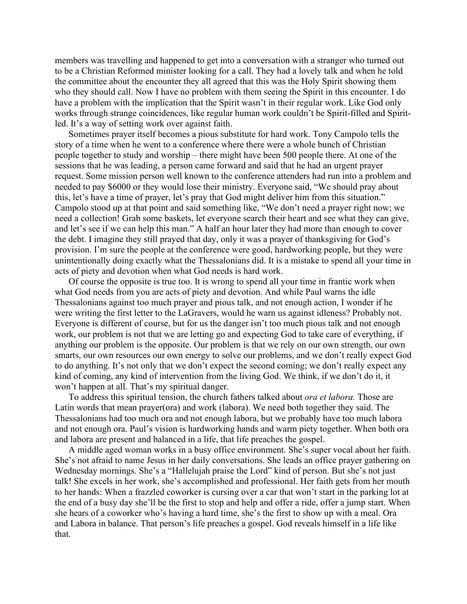members was travelling and happened to get into a conversation with a stranger who turned out to be a Christian Reformed minister looking for a call. They had a lovely talk and when he told the committee about the encounter they all agreed that this was the Holy Spirit showing them who they should call. Now I have no problem with them seeing the Spirit in this encounter. I do have a problem with the implication that the Spirit wasn't in their regular work. Like God only works through strange coincidences, like regular human work couldn't be Spirit-filled and Spiritled. It's a way of setting work over against faith.

Sometimes prayer itself becomes a pious substitute for hard work. Tony Campolo tells the story of a time when he went to a conference where there were a whole bunch of Christian people together to study and worship – there might have been 500 people there. At one of the sessions that he was leading, a person came forward and said that he had an urgent prayer request. Some mission person well known to the conference attenders had run into a problem and needed to pay \$6000 or they would lose their ministry. Everyone said, "We should pray about this, let's have a time of prayer, let's pray that God might deliver him from this situation." Campolo stood up at that point and said something like, "We don't need a prayer right now; we need a collection! Grab some baskets, let everyone search their heart and see what they can give, and let's see if we can help this man." A half an hour later they had more than enough to cover the debt. I imagine they still prayed that day, only it was a prayer of thanksgiving for God's provision. I'm sure the people at the conference were good, hardworking people, but they were unintentionally doing exactly what the Thessalonians did. It is a mistake to spend all your time in acts of piety and devotion when what God needs is hard work.

Of course the opposite is true too. It is wrong to spend all your time in frantic work when what God needs from you are acts of piety and devotion. And while Paul warns the idle Thessalonians against too much prayer and pious talk, and not enough action, I wonder if he were writing the first letter to the LaGravers, would he warn us against idleness? Probably not. Everyone is different of course, but for us the danger isn't too much pious talk and not enough work, our problem is not that we are letting go and expecting God to take care of everything, if anything our problem is the opposite. Our problem is that we rely on our own strength, our own smarts, our own resources our own energy to solve our problems, and we don't really expect God to do anything. It's not only that we don't expect the second coming; we don't really expect any kind of coming, any kind of intervention from the living God. We think, if we don't do it, it won't happen at all. That's my spiritual danger.

To address this spiritual tension, the church fathers talked about *ora et labora.* Those are Latin words that mean prayer(ora) and work (labora). We need both together they said. The Thessalonians had too much ora and not enough labora, but we probably have too much labora and not enough ora. Paul's vision is hardworking hands and warm piety together. When both ora and labora are present and balanced in a life, that life preaches the gospel.

A middle aged woman works in a busy office environment. She's super vocal about her faith. She's not afraid to name Jesus in her daily conversations. She leads an office prayer gathering on Wednesday mornings. She's a "Hallelujah praise the Lord" kind of person. But she's not just talk! She excels in her work, she's accomplished and professional. Her faith gets from her mouth to her hands: When a frazzled coworker is cursing over a car that won't start in the parking lot at the end of a busy day she'll be the first to stop and help and offer a ride, offer a jump start. When she hears of a coworker who's having a hard time, she's the first to show up with a meal. Ora and Labora in balance. That person's life preaches a gospel. God reveals himself in a life like that.